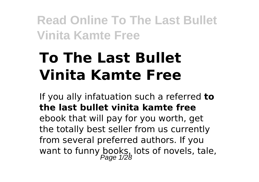# **To The Last Bullet Vinita Kamte Free**

If you ally infatuation such a referred **to the last bullet vinita kamte free** ebook that will pay for you worth, get the totally best seller from us currently from several preferred authors. If you want to funny books, lots of novels, tale,<br>Page 1/28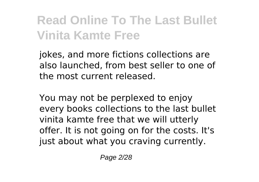jokes, and more fictions collections are also launched, from best seller to one of the most current released.

You may not be perplexed to enjoy every books collections to the last bullet vinita kamte free that we will utterly offer. It is not going on for the costs. It's just about what you craving currently.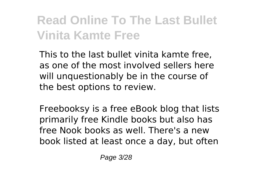This to the last bullet vinita kamte free, as one of the most involved sellers here will unquestionably be in the course of the best options to review.

Freebooksy is a free eBook blog that lists primarily free Kindle books but also has free Nook books as well. There's a new book listed at least once a day, but often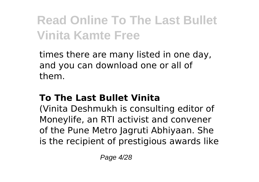times there are many listed in one day, and you can download one or all of them.

#### **To The Last Bullet Vinita**

(Vinita Deshmukh is consulting editor of Moneylife, an RTI activist and convener of the Pune Metro Jagruti Abhiyaan. She is the recipient of prestigious awards like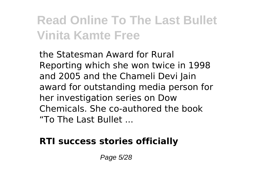the Statesman Award for Rural Reporting which she won twice in 1998 and 2005 and the Chameli Devi Jain award for outstanding media person for her investigation series on Dow Chemicals. She co-authored the book "To The Last Bullet ...

#### **RTI success stories officially**

Page 5/28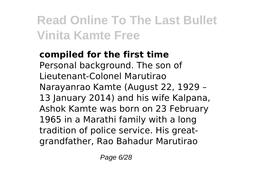#### **compiled for the first time** Personal background. The son of Lieutenant-Colonel Marutirao Narayanrao Kamte (August 22, 1929 – 13 January 2014) and his wife Kalpana. Ashok Kamte was born on 23 February 1965 in a Marathi family with a long tradition of police service. His greatgrandfather, Rao Bahadur Marutirao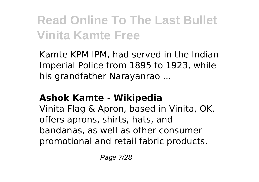Kamte KPM IPM, had served in the Indian Imperial Police from 1895 to 1923, while his grandfather Narayanrao ...

#### **Ashok Kamte - Wikipedia**

Vinita Flag & Apron, based in Vinita, OK, offers aprons, shirts, hats, and bandanas, as well as other consumer promotional and retail fabric products.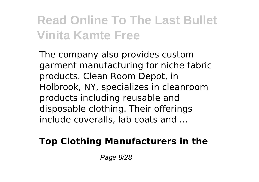The company also provides custom garment manufacturing for niche fabric products. Clean Room Depot, in Holbrook, NY, specializes in cleanroom products including reusable and disposable clothing. Their offerings include coveralls, lab coats and ...

#### **Top Clothing Manufacturers in the**

Page 8/28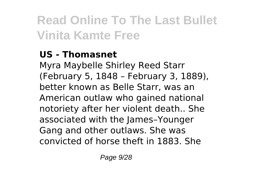#### **US - Thomasnet**

Myra Maybelle Shirley Reed Starr (February 5, 1848 – February 3, 1889), better known as Belle Starr, was an American outlaw who gained national notoriety after her violent death.. She associated with the James–Younger Gang and other outlaws. She was convicted of horse theft in 1883. She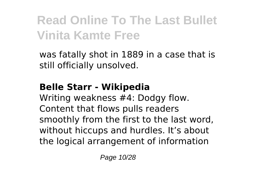was fatally shot in 1889 in a case that is still officially unsolved.

#### **Belle Starr - Wikipedia**

Writing weakness #4: Dodgy flow. Content that flows pulls readers smoothly from the first to the last word, without hiccups and hurdles. It's about the logical arrangement of information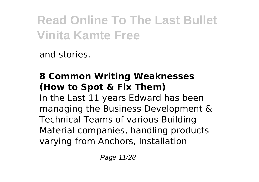and stories.

#### **8 Common Writing Weaknesses (How to Spot & Fix Them)**

In the Last 11 years Edward has been managing the Business Development & Technical Teams of various Building Material companies, handling products varying from Anchors, Installation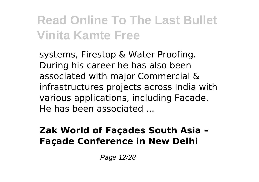systems, Firestop & Water Proofing. During his career he has also been associated with major Commercial & infrastructures projects across India with various applications, including Facade. He has been associated ...

#### **Zak World of Façades South Asia – Façade Conference in New Delhi**

Page 12/28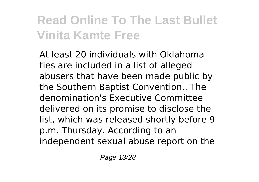At least 20 individuals with Oklahoma ties are included in a list of alleged abusers that have been made public by the Southern Baptist Convention.. The denomination's Executive Committee delivered on its promise to disclose the list, which was released shortly before 9 p.m. Thursday. According to an independent sexual abuse report on the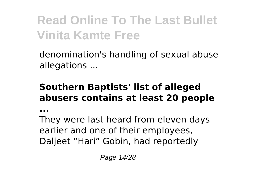denomination's handling of sexual abuse allegations ...

#### **Southern Baptists' list of alleged abusers contains at least 20 people**

**...**

They were last heard from eleven days earlier and one of their employees, Daljeet "Hari" Gobin, had reportedly

Page 14/28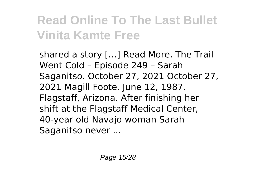shared a story […] Read More. The Trail Went Cold – Episode 249 – Sarah Saganitso. October 27, 2021 October 27, 2021 Magill Foote. June 12, 1987. Flagstaff, Arizona. After finishing her shift at the Flagstaff Medical Center, 40-year old Navajo woman Sarah Saganitso never ...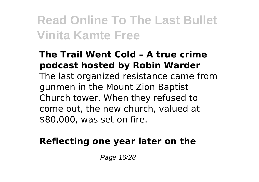#### **The Trail Went Cold – A true crime podcast hosted by Robin Warder** The last organized resistance came from gunmen in the Mount Zion Baptist Church tower. When they refused to come out, the new church, valued at \$80,000, was set on fire.

#### **Reflecting one year later on the**

Page 16/28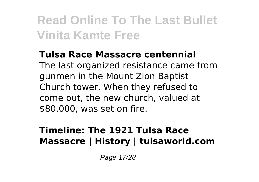#### **Tulsa Race Massacre centennial** The last organized resistance came from gunmen in the Mount Zion Baptist Church tower. When they refused to come out, the new church, valued at \$80,000, was set on fire.

#### **Timeline: The 1921 Tulsa Race Massacre | History | tulsaworld.com**

Page 17/28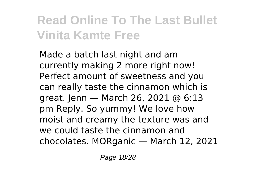Made a batch last night and am currently making 2 more right now! Perfect amount of sweetness and you can really taste the cinnamon which is great. Jenn — March 26, 2021 @ 6:13 pm Reply. So yummy! We love how moist and creamy the texture was and we could taste the cinnamon and chocolates. MORganic — March 12, 2021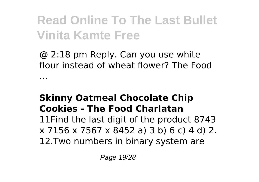@ 2:18 pm Reply. Can you use white flour instead of wheat flower? The Food

#### **Skinny Oatmeal Chocolate Chip Cookies - The Food Charlatan**

...

11Find the last digit of the product 8743 x 7156 x 7567 x 8452 a) 3 b) 6 c) 4 d) 2. 12.Two numbers in binary system are

Page 19/28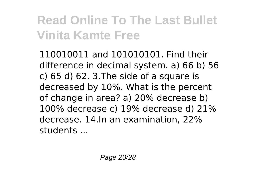110010011 and 101010101. Find their difference in decimal system. a) 66 b) 56  $c$ ) 65 d) 62, 3. The side of a square is decreased by 10%. What is the percent of change in area? a) 20% decrease b) 100% decrease c) 19% decrease d) 21% decrease. 14.In an examination, 22% students ...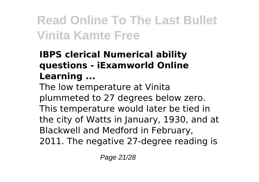#### **IBPS clerical Numerical ability questions - iExamworld Online Learning ...**

The low temperature at Vinita plummeted to 27 degrees below zero. This temperature would later be tied in the city of Watts in January, 1930, and at Blackwell and Medford in February, 2011. The negative 27-degree reading is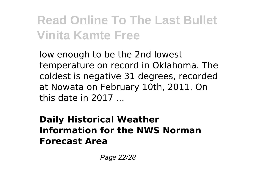low enough to be the 2nd lowest temperature on record in Oklahoma. The coldest is negative 31 degrees, recorded at Nowata on February 10th, 2011. On this date in 2017 ...

#### **Daily Historical Weather Information for the NWS Norman Forecast Area**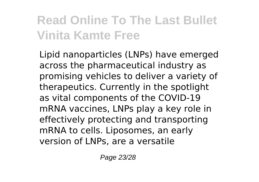Lipid nanoparticles (LNPs) have emerged across the pharmaceutical industry as promising vehicles to deliver a variety of therapeutics. Currently in the spotlight as vital components of the COVID-19 mRNA vaccines, LNPs play a key role in effectively protecting and transporting mRNA to cells. Liposomes, an early version of LNPs, are a versatile

Page 23/28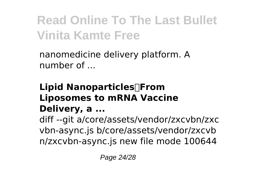nanomedicine delivery platform. A number of ...

#### **Lipid Nanoparticles─From Liposomes to mRNA Vaccine Delivery, a ...**

diff --git a/core/assets/vendor/zxcvbn/zxc vbn-async.js b/core/assets/vendor/zxcvb n/zxcvbn-async.js new file mode 100644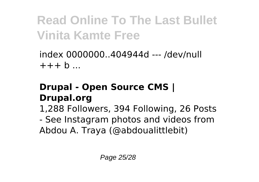index 0000000..404944d --- /dev/null  $+ + + b$  ...

#### **Drupal - Open Source CMS | Drupal.org**

1,288 Followers, 394 Following, 26 Posts

- See Instagram photos and videos from Abdou A. Traya (@abdoualittlebit)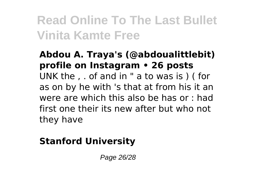#### **Abdou A. Traya's (@abdoualittlebit) profile on Instagram • 26 posts** UNK the , . of and in " a to was is ) ( for as on by he with 's that at from his it an were are which this also be has or : had first one their its new after but who not they have

#### **Stanford University**

Page 26/28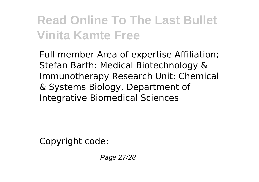Full member Area of expertise Affiliation; Stefan Barth: Medical Biotechnology & Immunotherapy Research Unit: Chemical & Systems Biology, Department of Integrative Biomedical Sciences

Copyright code:

Page 27/28